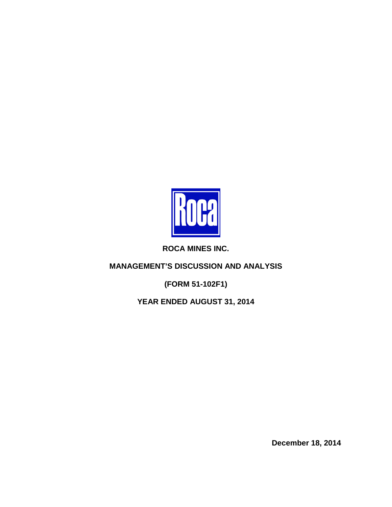

**ROCA MINES INC.**

**MANAGEMENT'S DISCUSSION AND ANALYSIS**

**(FORM 51-102F1)**

**YEAR ENDED AUGUST 31, 2014**

**December 18, 2014**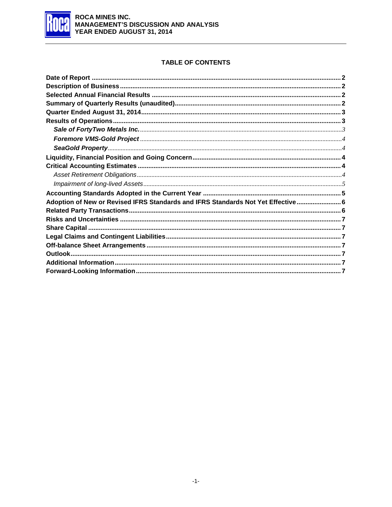

# **TABLE OF CONTENTS**

| Adoption of New or Revised IFRS Standards and IFRS Standards Not Yet Effective 6 |  |
|----------------------------------------------------------------------------------|--|
|                                                                                  |  |
|                                                                                  |  |
|                                                                                  |  |
|                                                                                  |  |
|                                                                                  |  |
|                                                                                  |  |
|                                                                                  |  |
|                                                                                  |  |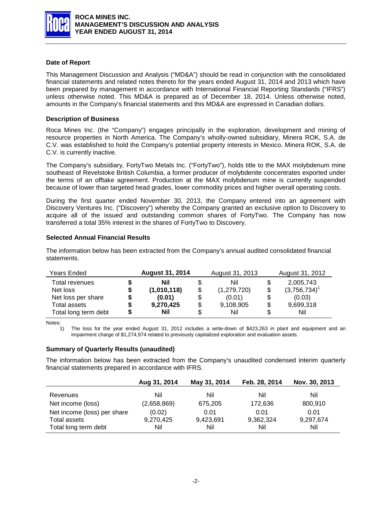

## <span id="page-2-0"></span>**Date of Report**

This Management Discussion and Analysis ("MD&A") should be read in conjunction with the consolidated financial statements and related notes thereto for the years ended August 31, 2014 and 2013 which have been prepared by management in accordance with International Financial Reporting Standards ("IFRS") unless otherwise noted. This MD&A is prepared as of December 18, 2014. Unless otherwise noted, amounts in the Company's financial statements and this MD&A are expressed in Canadian dollars.

### <span id="page-2-1"></span>**Description of Business**

Roca Mines Inc. (the "Company") engages principally in the exploration, development and mining of resource properties in North America. The Company's wholly-owned subsidiary, Minera ROK, S.A. de C.V. was established to hold the Company's potential property interests in Mexico. Minera ROK, S.A. de C.V. is currently inactive.

The Company's subsidiary, FortyTwo Metals Inc. ("FortyTwo"), holds title to the MAX molybdenum mine southeast of Revelstoke British Columbia, a former producer of molybdenite concentrates exported under the terms of an offtake agreement. Production at the MAX molybdenum mine is currently suspended because of lower than targeted head grades, lower commodity prices and higher overall operating costs.

During the first quarter ended November 30, 2013, the Company entered into an agreement with Discovery Ventures Inc. ("Discovery") whereby the Company granted an exclusive option to Discovery to acquire all of the issued and outstanding common shares of FortyTwo. The Company has now transferred a total 35% interest in the shares of FortyTwo to Discovery.

## <span id="page-2-2"></span>**Selected Annual Financial Results**

The information below has been extracted from the Company's annual audited consolidated financial statements.

| Years Ended          |   | <b>August 31, 2014</b> | August 31, 2013   | August 31, 2012       |
|----------------------|---|------------------------|-------------------|-----------------------|
| Total revenues       |   | Nil                    | \$<br>Nil         | \$<br>2,005,743       |
| Net loss             | S | (1,010,118)            | \$<br>(1,279,720) | \$<br>$(3,756,734)^1$ |
| Net loss per share   | S | (0.01)                 | \$<br>(0.01)      | \$<br>(0.03)          |
| Total assets         | S | 9,270,425              | \$<br>9,108,905   | \$<br>9,699,318       |
| Total long term debt | S | Nil                    | \$<br>Nil         | \$<br>Nil             |

Notes:

1) The loss for the year ended August 31, 2012 includes a write-down of \$423,263 in plant and equipment and an impairment charge of \$1,274,974 related to previously capitalized exploration and evaluation assets.

#### <span id="page-2-3"></span>**Summary of Quarterly Results (unaudited)**

The information below has been extracted from the Company's unaudited condensed interim quarterly financial statements prepared in accordance with IFRS.

|                             | Aug 31, 2014 | May 31, 2014 | Feb. 28, 2014 | Nov. 30, 2013 |
|-----------------------------|--------------|--------------|---------------|---------------|
| Revenues                    | Nil          | Nil          | Nil           | Nil           |
| Net income (loss)           | (2,658,869)  | 675,205      | 172,636       | 800,910       |
| Net income (loss) per share | (0.02)       | 0.01         | 0.01          | 0.01          |
| Total assets                | 9,270,425    | 9,423,691    | 9,362,324     | 9,297,674     |
| Total long term debt        | Nil          | Nil          | Nil           | Nil           |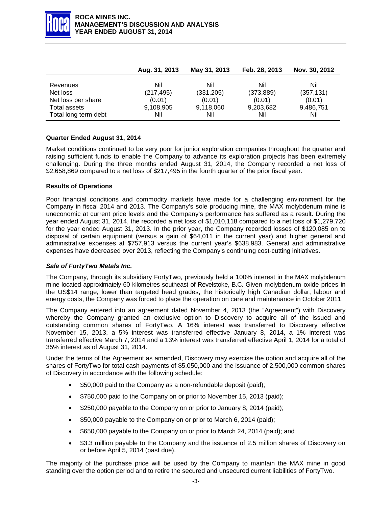

|                      | Aug. 31, 2013 | May 31, 2013 | Feb. 28, 2013 | Nov. 30, 2012 |
|----------------------|---------------|--------------|---------------|---------------|
|                      |               |              |               |               |
| Revenues             | Nil           | Nil          | Nil           | Nil           |
| Net loss             | (217, 495)    | (331, 205)   | (373, 889)    | (357, 131)    |
| Net loss per share   | (0.01)        | (0.01)       | (0.01)        | (0.01)        |
| Total assets         | 9,108,905     | 9,118,060    | 9,203,682     | 9,486,751     |
| Total long term debt | Nil           | Nil          | Nil           | Nil           |

## <span id="page-3-0"></span>**Quarter Ended August 31, 2014**

Market conditions continued to be very poor for junior exploration companies throughout the quarter and raising sufficient funds to enable the Company to advance its exploration projects has been extremely challenging. During the three months ended August 31, 2014, the Company recorded a net loss of \$2,658,869 compared to a net loss of \$217,495 in the fourth quarter of the prior fiscal year.

#### <span id="page-3-1"></span>**Results of Operations**

Poor financial conditions and commodity markets have made for a challenging environment for the Company in fiscal 2014 and 2013. The Company's sole producing mine, the MAX molybdenum mine is uneconomic at current price levels and the Company's performance has suffered as a result. During the year ended August 31, 2014, the recorded a net loss of \$1,010,118 compared to a net loss of \$1,279,720 for the year ended August 31, 2013. In the prior year, the Company recorded losses of \$120,085 on te disposal of certain equipment (versus a gain of \$64,011 in the current year) and higher general and administrative expenses at \$757,913 versus the current year's \$638,983. General and administrative expenses have decreased over 2013, reflecting the Company's continuing cost-cutting initiatives.

#### <span id="page-3-2"></span>*Sale of FortyTwo Metals Inc.*

The Company, through its subsidiary FortyTwo, previously held a 100% interest in the MAX molybdenum mine located approximately 60 kilometres southeast of Revelstoke, B.C. Given molybdenum oxide prices in the US\$14 range, lower than targeted head grades, the historically high Canadian dollar, labour and energy costs, the Company was forced to place the operation on care and maintenance in October 2011.

The Company entered into an agreement dated November 4, 2013 (the "Agreement") with Discovery whereby the Company granted an exclusive option to Discovery to acquire all of the issued and outstanding common shares of FortyTwo. A 16% interest was transferred to Discovery effective November 15, 2013, a 5% interest was transferred effective January 8, 2014, a 1% interest was transferred effective March 7, 2014 and a 13% interest was transferred effective April 1, 2014 for a total of 35% interest as of August 31, 2014.

Under the terms of the Agreement as amended, Discovery may exercise the option and acquire all of the shares of FortyTwo for total cash payments of \$5,050,000 and the issuance of 2,500,000 common shares of Discovery in accordance with the following schedule:

- \$50,000 paid to the Company as a non-refundable deposit (paid);
- \$750,000 paid to the Company on or prior to November 15, 2013 (paid);
- \$250,000 payable to the Company on or prior to January 8, 2014 (paid);
- \$50,000 payable to the Company on or prior to March 6, 2014 (paid);
- \$650,000 payable to the Company on or prior to March 24, 2014 (paid); and
- \$3.3 million payable to the Company and the issuance of 2.5 million shares of Discovery on or before April 5, 2014 (past due).

The majority of the purchase price will be used by the Company to maintain the MAX mine in good standing over the option period and to retire the secured and unsecured current liabilities of FortyTwo.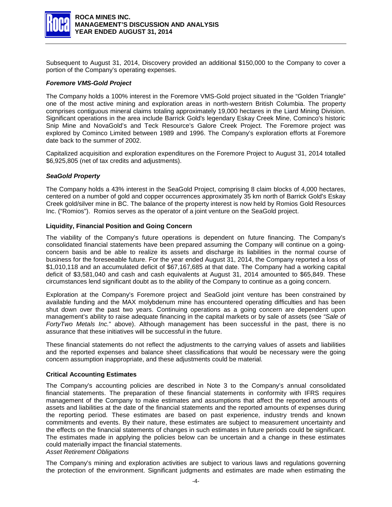

Subsequent to August 31, 2014, Discovery provided an additional \$150,000 to the Company to cover a portion of the Company's operating expenses.

#### <span id="page-4-0"></span>*Foremore VMS-Gold Project*

The Company holds a 100% interest in the Foremore VMS-Gold project situated in the "Golden Triangle" one of the most active mining and exploration areas in north-western British Columbia. The property comprises contiguous mineral claims totaling approximately 19,000 hectares in the Liard Mining Division. Significant operations in the area include Barrick Gold's legendary Eskay Creek Mine, Cominco's historic Snip Mine and NovaGold's and Teck Resource's Galore Creek Project. The Foremore project was explored by Cominco Limited between 1989 and 1996. The Company's exploration efforts at Foremore date back to the summer of 2002.

Capitalized acquisition and exploration expenditures on the Foremore Project to August 31, 2014 totalled \$6,925,805 (net of tax credits and adjustments).

## <span id="page-4-1"></span>*SeaGold Property*

The Company holds a 43% interest in the SeaGold Project, comprising 8 claim blocks of 4,000 hectares, centered on a number of gold and copper occurrences approximately 35 km north of Barrick Gold's Eskay Creek gold/silver mine in BC. The balance of the property interest is now held by Romios Gold Resources Inc. ("Romios"). Romios serves as the operator of a joint venture on the SeaGold project.

#### <span id="page-4-2"></span>**Liquidity, Financial Position and Going Concern**

The viability of the Company's future operations is dependent on future financing. The Company's consolidated financial statements have been prepared assuming the Company will continue on a goingconcern basis and be able to realize its assets and discharge its liabilities in the normal course of business for the foreseeable future. For the year ended August 31, 2014, the Company reported a loss of \$1,010,118 and an accumulated deficit of \$67,167,685 at that date. The Company had a working capital deficit of \$3,581,040 and cash and cash equivalents at August 31, 2014 amounted to \$65,849. These circumstances lend significant doubt as to the ability of the Company to continue as a going concern.

Exploration at the Company's Foremore project and SeaGold joint venture has been constrained by available funding and the MAX molybdenum mine has encountered operating difficulties and has been shut down over the past two years. Continuing operations as a going concern are dependent upon management's ability to raise adequate financing in the capital markets or by sale of assets (see *"Sale of FortyTwo Metals Inc.*" above). Although management has been successful in the past, there is no assurance that these initiatives will be successful in the future.

These financial statements do not reflect the adjustments to the carrying values of assets and liabilities and the reported expenses and balance sheet classifications that would be necessary were the going concern assumption inappropriate, and these adjustments could be material.

#### <span id="page-4-3"></span>**Critical Accounting Estimates**

The Company's accounting policies are described in Note 3 to the Company's annual consolidated financial statements. The preparation of these financial statements in conformity with IFRS requires management of the Company to make estimates and assumptions that affect the reported amounts of assets and liabilities at the date of the financial statements and the reported amounts of expenses during the reporting period. These estimates are based on past experience, industry trends and known commitments and events. By their nature, these estimates are subject to measurement uncertainty and the effects on the financial statements of changes in such estimates in future periods could be significant. The estimates made in applying the policies below can be uncertain and a change in these estimates could materially impact the financial statements.

### <span id="page-4-4"></span>*Asset Retirement Obligations*

The Company's mining and exploration activities are subject to various laws and regulations governing the protection of the environment. Significant judgments and estimates are made when estimating the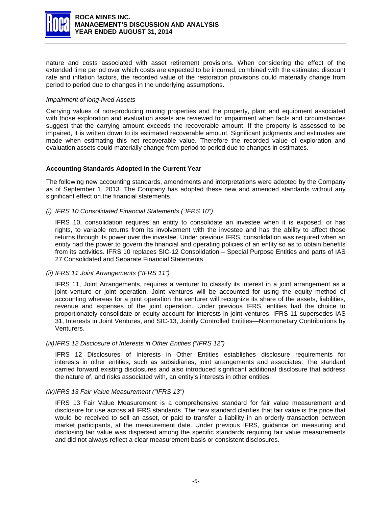

nature and costs associated with asset retirement provisions. When considering the effect of the extended time period over which costs are expected to be incurred, combined with the estimated discount rate and inflation factors, the recorded value of the restoration provisions could materially change from period to period due to changes in the underlying assumptions.

#### <span id="page-5-0"></span>*Impairment of long-lived Assets*

Carrying values of non-producing mining properties and the property, plant and equipment associated with those exploration and evaluation assets are reviewed for impairment when facts and circumstances suggest that the carrying amount exceeds the recoverable amount. If the property is assessed to be impaired, it is written down to its estimated recoverable amount. Significant judgments and estimates are made when estimating this net recoverable value. Therefore the recorded value of exploration and evaluation assets could materially change from period to period due to changes in estimates.

#### <span id="page-5-1"></span>**Accounting Standards Adopted in the Current Year**

The following new accounting standards, amendments and interpretations were adopted by the Company as of September 1, 2013. The Company has adopted these new and amended standards without any significant effect on the financial statements.

#### *(i) IFRS 10 Consolidated Financial Statements ("IFRS 10")*

IFRS 10, consolidation requires an entity to consolidate an investee when it is exposed, or has rights, to variable returns from its involvement with the investee and has the ability to affect those returns through its power over the investee. Under previous IFRS, consolidation was required when an entity had the power to govern the financial and operating policies of an entity so as to obtain benefits from its activities. IFRS 10 replaces SIC-12 Consolidation – Special Purpose Entities and parts of IAS 27 Consolidated and Separate Financial Statements.

#### *(ii) IFRS 11 Joint Arrangements ("IFRS 11")*

IFRS 11, Joint Arrangements, requires a venturer to classify its interest in a joint arrangement as a joint venture or joint operation. Joint ventures will be accounted for using the equity method of accounting whereas for a joint operation the venturer will recognize its share of the assets, liabilities, revenue and expenses of the joint operation. Under previous IFRS, entities had the choice to proportionately consolidate or equity account for interests in joint ventures. IFRS 11 supersedes IAS 31, Interests in Joint Ventures, and SIC-13, Jointly Controlled Entities—Nonmonetary Contributions by Venturers.

#### *(iii)IFRS 12 Disclosure of Interests in Other Entities ("IFRS 12")*

IFRS 12 Disclosures of Interests in Other Entities establishes disclosure requirements for interests in other entities, such as subsidiaries, joint arrangements and associates. The standard carried forward existing disclosures and also introduced significant additional disclosure that address the nature of, and risks associated with, an entity's interests in other entities.

#### *(iv)IFRS 13 Fair Value Measurement ("IFRS 13")*

IFRS 13 Fair Value Measurement is a comprehensive standard for fair value measurement and disclosure for use across all IFRS standards. The new standard clarifies that fair value is the price that would be received to sell an asset, or paid to transfer a liability in an orderly transaction between market participants, at the measurement date. Under previous IFRS, guidance on measuring and disclosing fair value was dispersed among the specific standards requiring fair value measurements and did not always reflect a clear measurement basis or consistent disclosures.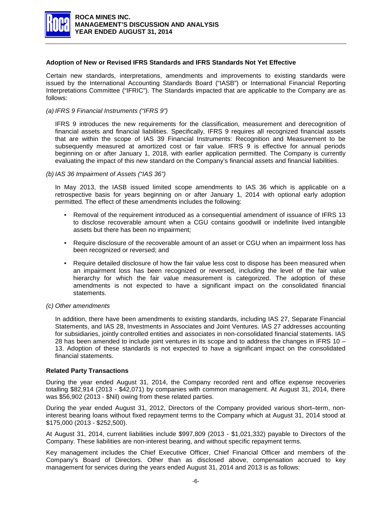

### <span id="page-6-0"></span>**Adoption of New or Revised IFRS Standards and IFRS Standards Not Yet Effective**

Certain new standards, interpretations, amendments and improvements to existing standards were issued by the International Accounting Standards Board ("IASB") or International Financial Reporting Interpretations Committee ("IFRIC"). The Standards impacted that are applicable to the Company are as follows:

### *(a) IFRS 9 Financial Instruments ("IFRS 9")*

IFRS 9 introduces the new requirements for the classification, measurement and derecognition of financial assets and financial liabilities. Specifically, IFRS 9 requires all recognized financial assets that are within the scope of IAS 39 Financial Instruments: Recognition and Measurement to be subsequently measured at amortized cost or fair value. IFRS 9 is effective for annual periods beginning on or after January 1, 2018, with earlier application permitted. The Company is currently evaluating the impact of this new standard on the Company's financial assets and financial liabilities.

#### *(b) IAS 36 Impairment of Assets ("IAS 36")*

In May 2013, the IASB issued limited scope amendments to IAS 36 which is applicable on a retrospective basis for years beginning on or after January 1, 2014 with optional early adoption permitted. The effect of these amendments includes the following:

- Removal of the requirement introduced as a consequential amendment of issuance of IFRS 13 to disclose recoverable amount when a CGU contains goodwill or indefinite lived intangible assets but there has been no impairment;
- Require disclosure of the recoverable amount of an asset or CGU when an impairment loss has been recognized or reversed; and
- Require detailed disclosure of how the fair value less cost to dispose has been measured when an impairment loss has been recognized or reversed, including the level of the fair value hierarchy for which the fair value measurement is categorized. The adoption of these amendments is not expected to have a significant impact on the consolidated financial statements.
- *(c) Other amendments*

In addition, there have been amendments to existing standards, including IAS 27, Separate Financial Statements, and IAS 28, Investments in Associates and Joint Ventures. IAS 27 addresses accounting for subsidiaries, jointly controlled entities and associates in non-consolidated financial statements. IAS 28 has been amended to include joint ventures in its scope and to address the changes in IFRS 10  $-$ 13. Adoption of these standards is not expected to have a significant impact on the consolidated financial statements.

#### <span id="page-6-1"></span>**Related Party Transactions**

During the year ended August 31, 2014, the Company recorded rent and office expense recoveries totalling \$82,914 (2013 - \$42,071) by companies with common management. At August 31, 2014, there was \$56,902 (2013 - \$Nil) owing from these related parties.

During the year ended August 31, 2012, Directors of the Company provided various short–term, noninterest bearing loans without fixed repayment terms to the Company which at August 31, 2014 stood at \$175,000 (2013 - \$252,500).

At August 31, 2014, current liabilities include \$997,809 (2013 - \$1,021,332) payable to Directors of the Company. These liabilities are non-interest bearing, and without specific repayment terms.

Key management includes the Chief Executive Officer, Chief Financial Officer and members of the Company's Board of Directors. Other than as disclosed above, compensation accrued to key management for services during the years ended August 31, 2014 and 2013 is as follows: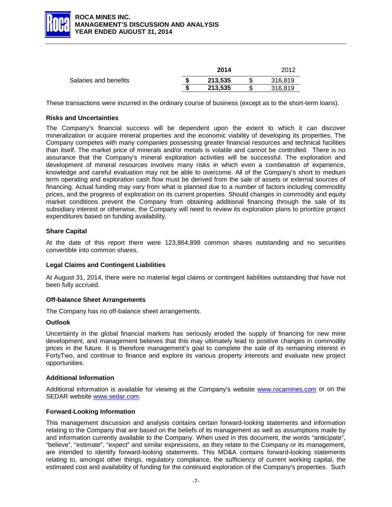

|                       | 2014    | 2012    |
|-----------------------|---------|---------|
| Salaries and benefits | 213.535 | 316.819 |
|                       | 213.535 | 316.819 |

<span id="page-7-0"></span>These transactions were incurred in the ordinary course of business (except as to the short-term loans).

## **Risks and Uncertainties**

The Company's financial success will be dependent upon the extent to which it can discover mineralization or acquire mineral properties and the economic viability of developing its properties. The Company competes with many companies possessing greater financial resources and technical facilities than itself. The market price of minerals and/or metals is volatile and cannot be controlled. There is no assurance that the Company's mineral exploration activities will be successful. The exploration and development of mineral resources involves many risks in which even a combination of experience, knowledge and careful evaluation may not be able to overcome. All of the Company's short to medium term operating and exploration cash flow must be derived from the sale of assets or external sources of financing. Actual funding may vary from what is planned due to a number of factors including commodity prices, and the progress of exploration on its current properties. Should changes in commodity and equity market conditions prevent the Company from obtaining additional financing through the sale of its subsidiary interest or otherwise, the Company will need to review its exploration plans to prioritize project expenditures based on funding availability.

## <span id="page-7-1"></span>**Share Capital**

At the date of this report there were 123,864,898 common shares outstanding and no securities convertible into common shares.

#### <span id="page-7-2"></span>**Legal Claims and Contingent Liabilities**

At August 31, 2014, there were no material legal claims or contingent liabilities outstanding that have not been fully accrued.

#### <span id="page-7-3"></span>**Off-balance Sheet Arrangements**

The Company has no off-balance sheet arrangements.

#### <span id="page-7-4"></span>**Outlook**

Uncertainty in the global financial markets has seriously eroded the supply of financing for new mine development, and management believes that this may ultimately lead to positive changes in commodity prices in the future. It is therefore management's goal to complete the sale of its remaining interest in FortyTwo, and continue to finance and explore its various property interests and evaluate new project opportunities.

#### <span id="page-7-5"></span>**Additional Information**

Additional information is available for viewing at the Company's website [www.rocamines.com](http://www.rocamines.com/) or on the SEDAR website [www.sedar.com.](http://www.sedar.com/)

#### <span id="page-7-6"></span>**Forward-Looking Information**

This management discussion and analysis contains certain forward-looking statements and information relating to the Company that are based on the beliefs of its management as well as assumptions made by and information currently available to the Company. When used in this document, the words "anticipate", "believe", "estimate", "expect" and similar expressions, as they relate to the Company or its management, are intended to identify forward-looking statements. This MD&A contains forward-looking statements relating to, amongst other things, regulatory compliance, the sufficiency of current working capital, the estimated cost and availability of funding for the continued exploration of the Company's properties. Such